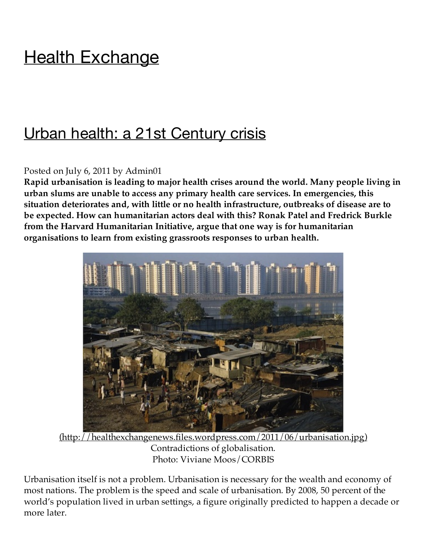# **Health Exchange**

## Urban health: a 21st Century crisis

#### Posted on July 6, 2011 by Admin01

**Rapid urbanisation is leading to major health crises around the world. Many people living in urban slums are unable to access any primary health care services. In emergencies, this situation deteriorates and, with little or no health infrastructure, outbreaks of disease are to be expected. How can humanitarian actors deal with this? Ronak Patel and Fredrick Burkle from the Harvard Humanitarian Initiative, argue that one way is for humanitarian organisations to learn from existing grassroots responses to urban health.**



 $(\text{http://healthexchangenews.files.wordpress.com/2011/06/urbanisation.jpg})$ Contradictions of globalisation. Photo: Viviane Moos/CORBIS

Urbanisation itself is not a problem. Urbanisation is necessary for the wealth and economy of most nations. The problem is the speed and scale of urbanisation. By 2008, 50 percent of the world's population lived in urban settings, a figure originally predicted to happen a decade or more later.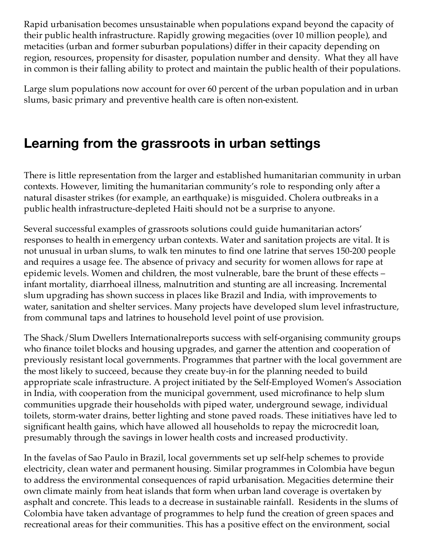Rapid urbanisation becomes unsustainable when populations expand beyond the capacity of their public health infrastructure. Rapidly growing megacities (over 10 million people), and metacities (urban and former suburban populations) differ in their capacity depending on region, resources, propensity for disaster, population number and density. What they all have in common is their falling ability to protect and maintain the public health of their populations.

Large slum populations now account for over 60 percent of the urban population and in urban slums, basic primary and preventive health care is often non-existent.

## **Learning from the grassroots in urban settings**

There is little representation from the larger and established humanitarian community in urban contexts. However, limiting the humanitarian community's role to responding only after a natural disaster strikes (for example, an earthquake) is misguided. Cholera outbreaks in a public health infrastructure-depleted Haiti should not be a surprise to anyone.

Several successful examples of grassroots solutions could guide humanitarian actors' responses to health in emergency urban contexts. Water and sanitation projects are vital. It is not unusual in urban slums, to walk ten minutes to find one latrine that serves 150-200 people and requires a usage fee. The absence of privacy and security for women allows for rape at epidemic levels. Women and children, the most vulnerable, bare the brunt of these effects – infant mortality, diarrhoeal illness, malnutrition and stunting are all increasing. Incremental slum upgrading has shown success in places like Brazil and India, with improvements to water, sanitation and shelter services. Many projects have developed slum level infrastructure, from communal taps and latrines to household level point of use provision.

The Shack/Slum Dwellers Internationalreports success with self-organising community groups who finance toilet blocks and housing upgrades, and garner the attention and cooperation of previously resistant local governments. Programmes that partner with the local government are the most likely to succeed, because they create buy-in for the planning needed to build appropriate scale infrastructure. A project initiated by the Self-Employed Women's Association in India, with cooperation from the municipal government, used microfinance to help slum communities upgrade their households with piped water, underground sewage, individual toilets, storm-water drains, better lighting and stone paved roads. These initiatives have led to significant health gains, which have allowed all households to repay the microcredit loan, presumably through the savings in lower health costs and increased productivity.

In the favelas of Sao Paulo in Brazil, local governments set up self-help schemes to provide electricity, clean water and permanent housing. Similar programmes in Colombia have begun to address the environmental consequences of rapid urbanisation. Megacities determine their own climate mainly from heat islands that form when urban land coverage is overtaken by asphalt and concrete. This leads to a decrease in sustainable rainfall. Residents in the slums of Colombia have taken advantage of programmes to help fund the creation of green spaces and recreational areas for their communities. This has a positive effect on the environment, social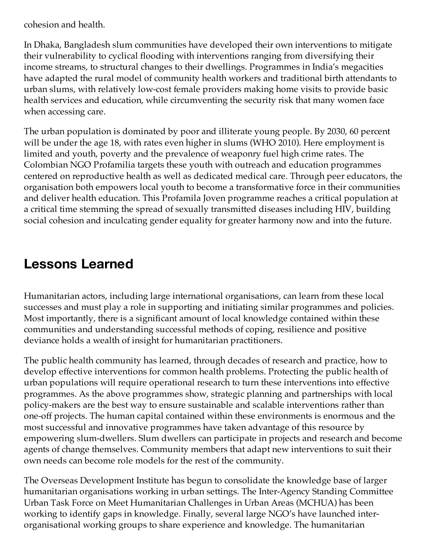cohesion and health.

In Dhaka, Bangladesh slum communities have developed their own interventions to mitigate their vulnerability to cyclical flooding with interventions ranging from diversifying their income streams, to structural changes to their dwellings. Programmes in India's megacities have adapted the rural model of community health workers and traditional birth attendants to urban slums, with relatively low-cost female providers making home visits to provide basic health services and education, while circumventing the security risk that many women face when accessing care.

The urban population is dominated by poor and illiterate young people. By 2030, 60 percent will be under the age 18, with rates even higher in slums (WHO 2010). Here employment is limited and youth, poverty and the prevalence of weaponry fuel high crime rates. The Colombian NGO Profamilia targets these youth with outreach and education programmes centered on reproductive health as well as dedicated medical care. Through peer educators, the organisation both empowers local youth to become a transformative force in their communities and deliver health education. This Profamila Joven programme reaches a critical population at a critical time stemming the spread of sexually transmitted diseases including HIV, building social cohesion and inculcating gender equality for greater harmony now and into the future.

### **Lessons Learned**

Humanitarian actors, including large international organisations, can learn from these local successes and must play a role in supporting and initiating similar programmes and policies. Most importantly, there is a significant amount of local knowledge contained within these communities and understanding successful methods of coping, resilience and positive deviance holds a wealth of insight for humanitarian practitioners.

The public health community has learned, through decades of research and practice, how to develop effective interventions for common health problems. Protecting the public health of urban populations will require operational research to turn these interventions into effective programmes. As the above programmes show, strategic planning and partnerships with local policy-makers are the best way to ensure sustainable and scalable interventions rather than one-off projects. The human capital contained within these environments is enormous and the most successful and innovative programmes have taken advantage of this resource by empowering slum-dwellers. Slum dwellers can participate in projects and research and become agents of change themselves. Community members that adapt new interventions to suit their own needs can become role models for the rest of the community.

The Overseas Development Institute has begun to consolidate the knowledge base of larger humanitarian organisations working in urban settings. The Inter-Agency Standing Committee Urban Task Force on Meet Humanitarian Challenges in Urban Areas (MCHUA) has been working to identify gaps in knowledge. Finally, several large NGO's have launched interorganisational working groups to share experience and knowledge. The humanitarian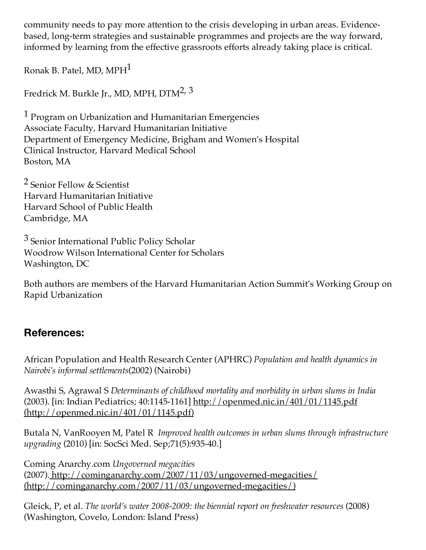community needs to pay more attention to the crisis developing in urban areas. Evidencebased, long-term strategies and sustainable programmes and projects are the way forward, informed by learning from the effective grassroots efforts already taking place is critical.

Ronak B. Patel, MD, MPH1

Fredrick M. Burkle Jr., MD, MPH, DTM2, 3

<sup>1</sup> Program on Urbanization and Humanitarian Emergencies Associate Faculty, Harvard Humanitarian Initiative Department of Emergency Medicine, Brigham and Women's Hospital Clinical Instructor, Harvard Medical School Boston, MA

2 Senior Fellow & Scientist Harvard Humanitarian Initiative Harvard School of Public Health Cambridge, MA

3 Senior International Public Policy Scholar Woodrow Wilson International Center for Scholars Washington, DC

Both authors are members of the Harvard Humanitarian Action Summit's Working Group on Rapid Urbanization

#### **References:**

African Population and Health Research Center (APHRC) *Population and health dynamics in Nairobi's informal settlements*(2002) (Nairobi)

Awasthi S, Agrawal S *Determinants of childhood mortality and morbidity in urban slums in India* (2003). [in: Indian Pediatrics; 40:1145-1161] http://openmed.nic.in/401/01/1145.pdf (http://openmed.nic.in/401/01/1145.pdf)

Butala N, VanRooyen M, Patel R *Improved health outcomes in urban slums through infrastructure upgrading* (2010) [in: SocSci Med. Sep;71(5):935-40.]

Coming Anarchy.com *Ungoverned megacities* (2007). http://cominganarchy.com/2007/11/03/ungoverned-megacities/ (http://cominganarchy.com/2007/11/03/ungoverned-megacities/)

Gleick, P, et al. *The world's water 2008-2009: the biennial report on freshwater resources* (2008) (Washington, Covelo, London: Island Press)